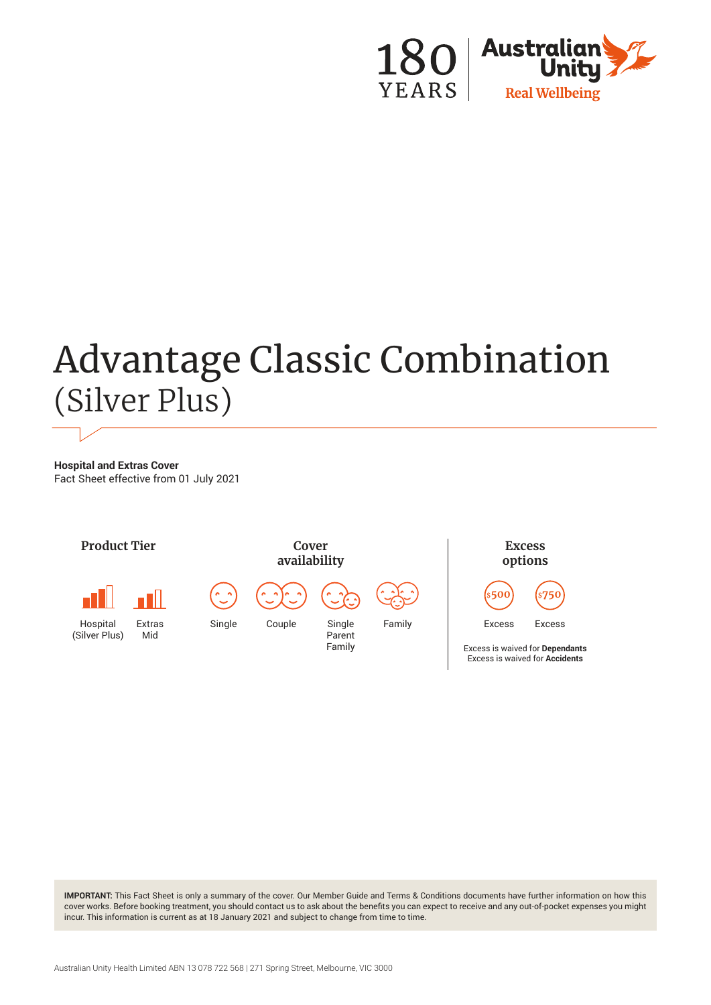

# Advantage Classic Combination (Silver Plus)

**Hospital and Extras Cover** Fact Sheet effective from 01 July 2021



**IMPORTANT:** This Fact Sheet is only a summary of the cover. Our Member Guide and Terms & Conditions documents have further information on how this cover works. Before booking treatment, you should contact us to ask about the benefits you can expect to receive and any out-of-pocket expenses you might incur. This information is current as at 18 January 2021 and subject to change from time to time.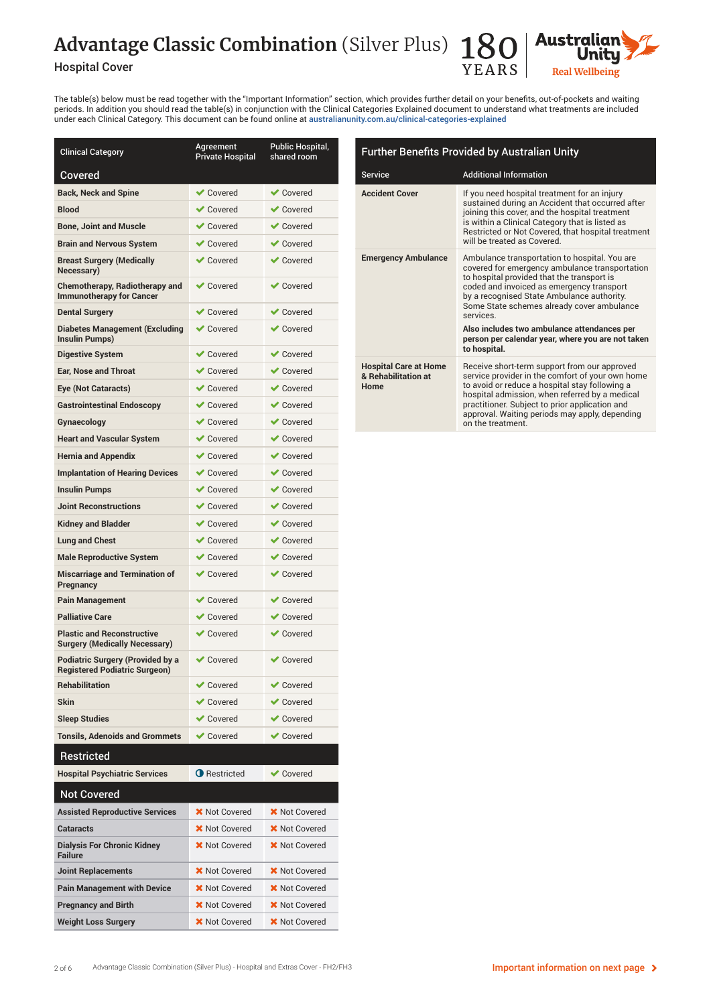## Advantage Classic Combination (Silver Plus) 18





The table(s) below must be read together with the "Important Information" section, which provides further detail on your benefits, out-of-pockets and waiting periods. In addition you should read the table(s) in conjunction with the Clinical Categories Explained document to understand what treatments are included under each Clinical Category. This document can be found online at [australianunity.com.au/clinical-categories-explained](http://australianunity.com.au/clinical-categories-explained)

| Clinical Category                                                               | Agreement<br><b>Private Hospital</b> | Public Hospital,<br>shared room |
|---------------------------------------------------------------------------------|--------------------------------------|---------------------------------|
| Covered                                                                         |                                      |                                 |
| <b>Back, Neck and Spine</b>                                                     | <b>◆</b> Covered                     | $\vee$ Covered                  |
| <b>Blood</b>                                                                    | <b>√</b> Covered                     | $\vee$ Covered                  |
| <b>Bone, Joint and Muscle</b>                                                   | <b>√</b> Covered                     | $\vee$ Covered                  |
| <b>Brain and Nervous System</b>                                                 | $\vee$ Covered                       | $\vee$ Covered                  |
| <b>Breast Surgery (Medically</b><br>Necessary)                                  | <b>◆</b> Covered                     | $\vee$ Covered                  |
| <b>Chemotherapy, Radiotherapy and</b><br><b>Immunotherapy for Cancer</b>        | <b>◆</b> Covered                     | $\vee$ Covered                  |
| <b>Dental Surgery</b>                                                           | <b>◆</b> Covered                     | ✔ Covered                       |
| <b>Diabetes Management (Excluding</b><br><b>Insulin Pumps)</b>                  | <b>◆</b> Covered                     | $\vee$ Covered                  |
| <b>Digestive System</b>                                                         | <b>◆</b> Covered                     | $\vee$ Covered                  |
| <b>Ear. Nose and Throat</b>                                                     | <b>◆</b> Covered                     | $\vee$ Covered                  |
| Eye (Not Cataracts)                                                             | $\vee$ Covered                       | $\vee$ Covered                  |
| <b>Gastrointestinal Endoscopy</b>                                               | <b>◆</b> Covered                     | $\vee$ Covered                  |
| Gynaecology                                                                     | <b>◆</b> Covered                     | $\vee$ Covered                  |
| <b>Heart and Vascular System</b>                                                | <b>◆</b> Covered                     | $\vee$ Covered                  |
| <b>Hernia and Appendix</b>                                                      | <b>◆</b> Covered                     | $\vee$ Covered                  |
| <b>Implantation of Hearing Devices</b>                                          | <b>√</b> Covered                     | $\vee$ Covered                  |
| <b>Insulin Pumps</b>                                                            | <b>◆</b> Covered                     | $\vee$ Covered                  |
| <b>Joint Reconstructions</b>                                                    | <b>◆</b> Covered                     | $\vee$ Covered                  |
| <b>Kidney and Bladder</b>                                                       | <b>◆</b> Covered                     | $\vee$ Covered                  |
| <b>Lung and Chest</b>                                                           | <b>◆</b> Covered                     | $\vee$ Covered                  |
| <b>Male Reproductive System</b>                                                 | <b>◆</b> Covered                     | $\vee$ Covered                  |
| <b>Miscarriage and Termination of</b><br>Pregnancy                              | <b>◆</b> Covered                     | $\vee$ Covered                  |
| <b>Pain Management</b>                                                          | <b>◆</b> Covered                     | $\vee$ Covered                  |
| <b>Palliative Care</b>                                                          | $\vee$ Covered                       | $\vee$ Covered                  |
| <b>Plastic and Reconstructive</b><br><b>Surgery (Medically Necessary)</b>       | <b>◆</b> Covered                     | $\vee$ Covered                  |
| <b>Podiatric Surgery (Provided by a</b><br><b>Registered Podiatric Surgeon)</b> | <b>◆</b> Covered                     | $\vee$ Covered                  |
| <b>Rehabilitation</b>                                                           | $\blacktriangleright$ Covered        | $\blacktriangleright$ Covered   |
| <b>Skin</b>                                                                     | <b>√</b> Covered                     | $\vee$ Covered                  |
| <b>Sleep Studies</b>                                                            | $\vee$ Covered                       | $\vee$ Covered                  |
| <b>Tonsils, Adenoids and Grommets</b>                                           | <b>√</b> Covered                     | <b>◆ Covered</b>                |
| <b>Restricted</b>                                                               |                                      |                                 |
| <b>Hospital Psychiatric Services</b>                                            | <b>O</b> Restricted                  | <b>√</b> Covered                |
| <b>Not Covered</b>                                                              |                                      |                                 |
| <b>Assisted Reproductive Services</b>                                           | <b>X</b> Not Covered                 | X Not Covered                   |
| <b>Cataracts</b>                                                                | <b>X</b> Not Covered                 | <b>X</b> Not Covered            |
| <b>Dialysis For Chronic Kidney</b><br><b>Failure</b>                            | <b>X</b> Not Covered                 | <b>X</b> Not Covered            |
| <b>Joint Replacements</b>                                                       | <b>X</b> Not Covered                 | <b>X</b> Not Covered            |
| <b>Pain Management with Device</b>                                              | <b>X</b> Not Covered                 | <b>X</b> Not Covered            |
| <b>Pregnancy and Birth</b>                                                      | <b>X</b> Not Covered                 | <b>X</b> Not Covered            |
| <b>Weight Loss Surgery</b>                                                      | <b>X</b> Not Covered                 | <b>X</b> Not Covered            |

| <b>Further Benefits Provided by Australian Unity</b>        |                                                                                                                                                                                                                                                                                                                                                                                                                        |  |
|-------------------------------------------------------------|------------------------------------------------------------------------------------------------------------------------------------------------------------------------------------------------------------------------------------------------------------------------------------------------------------------------------------------------------------------------------------------------------------------------|--|
| <b>Service</b>                                              | <b>Additional Information</b>                                                                                                                                                                                                                                                                                                                                                                                          |  |
| <b>Accident Cover</b>                                       | If you need hospital treatment for an injury<br>sustained during an Accident that occurred after<br>joining this cover, and the hospital treatment<br>is within a Clinical Category that is listed as<br>Restricted or Not Covered, that hospital treatment<br>will be treated as Covered.                                                                                                                             |  |
| <b>Emergency Ambulance</b>                                  | Ambulance transportation to hospital. You are<br>covered for emergency ambulance transportation<br>to hospital provided that the transport is<br>coded and invoiced as emergency transport<br>by a recognised State Ambulance authority.<br>Some State schemes already cover ambulance<br>services<br>Also includes two ambulance attendances per<br>person per calendar year, where you are not taken<br>to hospital. |  |
| <b>Hospital Care at Home</b><br>& Rehabilitation at<br>Home | Receive short-term support from our approved<br>service provider in the comfort of your own home<br>to avoid or reduce a hospital stay following a<br>hospital admission, when referred by a medical<br>practitioner. Subject to prior application and<br>approval. Waiting periods may apply, depending<br>on the treatment.                                                                                          |  |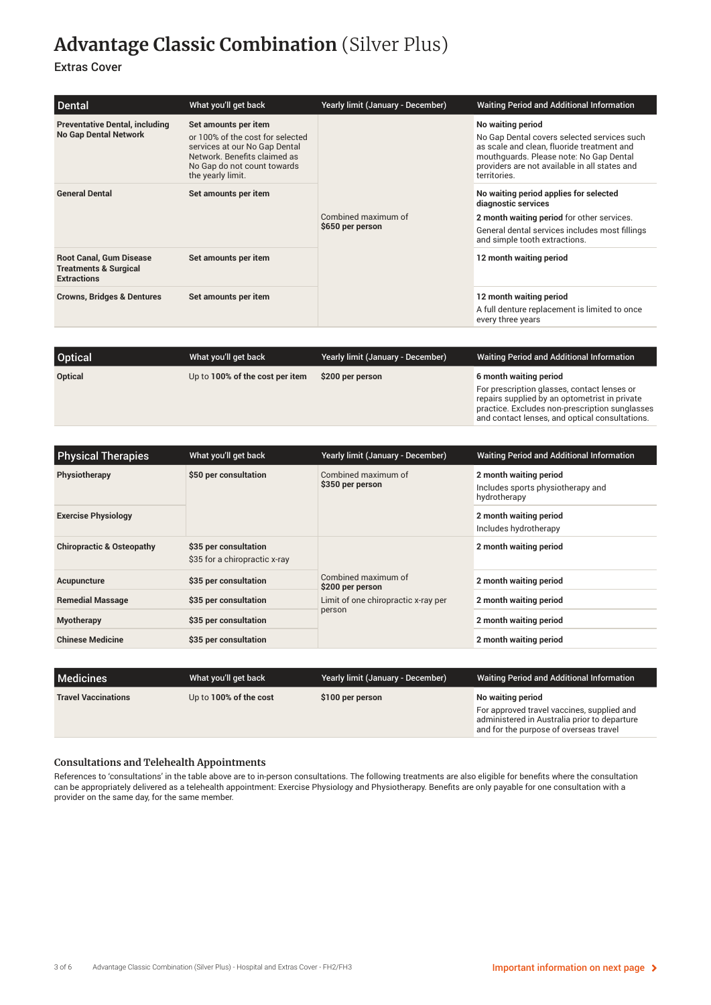## **Advantage Classic Combination** (Silver Plus)

#### Extras Cover

| Dental                                                                                   | What you'll get back                                                                                                                                                          | Yearly limit (January - December)       | <b>Waiting Period and Additional Information</b>                                                                                                                                                                           |
|------------------------------------------------------------------------------------------|-------------------------------------------------------------------------------------------------------------------------------------------------------------------------------|-----------------------------------------|----------------------------------------------------------------------------------------------------------------------------------------------------------------------------------------------------------------------------|
| <b>Preventative Dental, including</b><br><b>No Gap Dental Network</b>                    | Set amounts per item<br>or 100% of the cost for selected<br>services at our No Gap Dental<br>Network. Benefits claimed as<br>No Gap do not count towards<br>the yearly limit. | Combined maximum of<br>\$650 per person | No waiting period<br>No Gap Dental covers selected services such<br>as scale and clean, fluoride treatment and<br>mouthquards. Please note: No Gap Dental<br>providers are not available in all states and<br>territories. |
| <b>General Dental</b>                                                                    | Set amounts per item                                                                                                                                                          |                                         | No waiting period applies for selected<br>diagnostic services<br>2 month waiting period for other services.<br>General dental services includes most fillings<br>and simple tooth extractions.                             |
| <b>Root Canal, Gum Disease</b><br><b>Treatments &amp; Surgical</b><br><b>Extractions</b> | Set amounts per item                                                                                                                                                          |                                         | 12 month waiting period                                                                                                                                                                                                    |
| <b>Crowns, Bridges &amp; Dentures</b>                                                    | Set amounts per item                                                                                                                                                          |                                         | 12 month waiting period<br>A full denture replacement is limited to once<br>every three years                                                                                                                              |

| <b>Optical</b> | What you'll get back            | Yearly limit (January - December) | <b>Waiting Period and Additional Information</b>                                                                                               |
|----------------|---------------------------------|-----------------------------------|------------------------------------------------------------------------------------------------------------------------------------------------|
| Optical        | Up to 100% of the cost per item | \$200 per person                  | 6 month waiting period                                                                                                                         |
|                |                                 |                                   | For prescription glasses, contact lenses or<br>repairs supplied by an optometrist in private<br>practice. Excludes non-prescription sunglasses |

| <b>Physical Therapies</b>            | What you'll get back                                   | Yearly limit (January - December)                                                        | <b>Waiting Period and Additional Information</b>                            |
|--------------------------------------|--------------------------------------------------------|------------------------------------------------------------------------------------------|-----------------------------------------------------------------------------|
| Physiotherapy                        | \$50 per consultation                                  | Combined maximum of<br>\$350 per person                                                  | 2 month waiting period<br>Includes sports physiotherapy and<br>hydrotherapy |
| <b>Exercise Physiology</b>           |                                                        |                                                                                          | 2 month waiting period<br>Includes hydrotherapy                             |
| <b>Chiropractic &amp; Osteopathy</b> | \$35 per consultation<br>\$35 for a chiropractic x-ray | Combined maximum of<br>\$200 per person<br>Limit of one chiropractic x-ray per<br>person | 2 month waiting period                                                      |
| Acupuncture                          | \$35 per consultation                                  |                                                                                          | 2 month waiting period                                                      |
| <b>Remedial Massage</b>              | \$35 per consultation                                  |                                                                                          | 2 month waiting period                                                      |
| <b>Myotherapy</b>                    | \$35 per consultation                                  |                                                                                          | 2 month waiting period                                                      |
| <b>Chinese Medicine</b>              | \$35 per consultation                                  |                                                                                          | 2 month waiting period                                                      |

| <b>Medicines</b>           | What you'll get back   | Yearly limit (January - December) | Waiting Period and Additional Information                                                                                                                 |
|----------------------------|------------------------|-----------------------------------|-----------------------------------------------------------------------------------------------------------------------------------------------------------|
| <b>Travel Vaccinations</b> | Up to 100% of the cost | \$100 per person                  | No waiting period<br>For approved travel vaccines, supplied and<br>administered in Australia prior to departure<br>and for the purpose of overseas travel |

#### **Consultations and Telehealth Appointments**

References to 'consultations' in the table above are to in-person consultations. The following treatments are also eligible for benefits where the consultation can be appropriately delivered as a telehealth appointment: Exercise Physiology and Physiotherapy. Benefits are only payable for one consultation with a provider on the same day, for the same member.

and contact lenses, and optical consultations.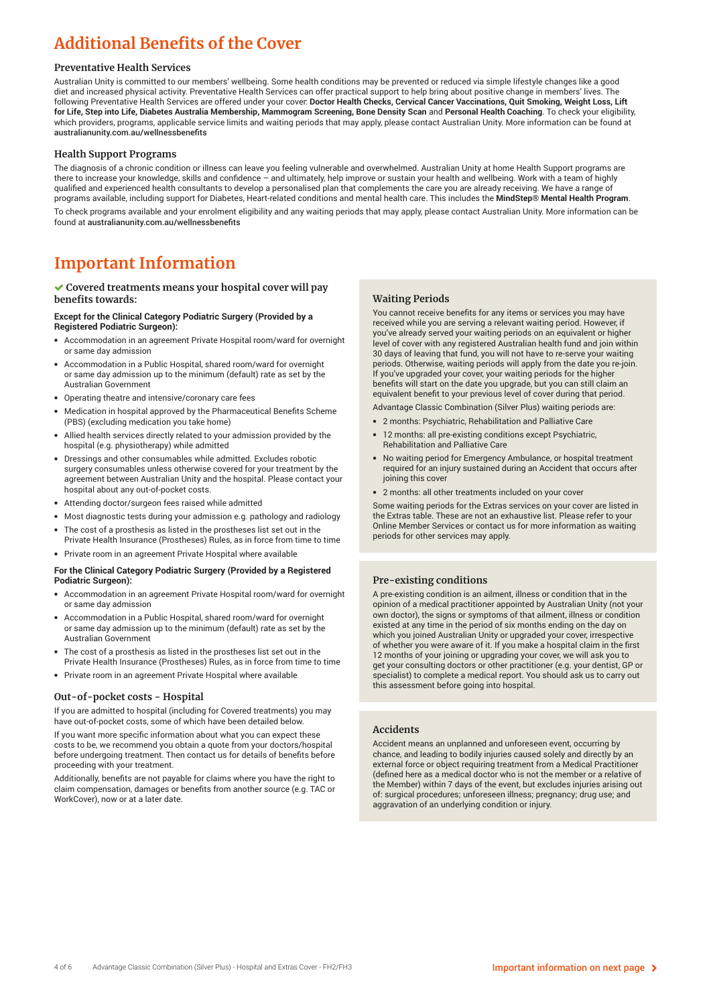## **Additional Benefits of the Cover**

#### **Preventative Health Services**

Australian Unity is committed to our members' wellbeing. Some health conditions may be prevented or reduced via simple lifestyle changes like a good diet and increased physical activity. Preventative Health Services can offer practical support to help bring about positive change in members' lives. The following Preventative Health Services are offered under your cover: **Doctor Health Checks, Cervical Cancer Vaccinations, Quit Smoking, Weight Loss, Lift for Life, Step into Life, Diabetes Australia Membership, Mammogram Screening, Bone Density Scan** and **Personal Health Coaching**. To check your eligibility, which providers, programs, applicable service limits and waiting periods that may apply, please contact Australian Unity. More information can be found at australianunity.com.au/wellnessbenefits

#### **Health Support Programs**

The diagnosis of a chronic condition or illness can leave you feeling vulnerable and overwhelmed. Australian Unity at home Health Support programs are there to increase your knowledge, skills and confidence – and ultimately, help improve or sustain your health and wellbeing. Work with a team of highly qualified and experienced health consultants to develop a personalised plan that complements the care you are already receiving. We have a range of programs available, including support for Diabetes, Heart-related conditions and mental health care. This includes the **MindStep® Mental Health Program**. To check programs available and your enrolment eligibility and any waiting periods that may apply, please contact Australian Unity. More information can be found at australianunity.com.au/wellnessbenefits

### **Important Information**

#### **Covered treatments means your hospital cover will pay benefits towards:**

#### **Except for the Clinical Category Podiatric Surgery (Provided by a Registered Podiatric Surgeon):**

- Accommodation in an agreement Private Hospital room/ward for overnight or same day admission
- Accommodation in a Public Hospital, shared room/ward for overnight or same day admission up to the minimum (default) rate as set by the Australian Government
- Operating theatre and intensive/coronary care fees
- Medication in hospital approved by the Pharmaceutical Benefits Scheme (PBS) (excluding medication you take home)
- Allied health services directly related to your admission provided by the hospital (e.g. physiotherapy) while admitted
- Dressings and other consumables while admitted. Excludes robotic surgery consumables unless otherwise covered for your treatment by the agreement between Australian Unity and the hospital. Please contact your hospital about any out-of-pocket costs.
- Attending doctor/surgeon fees raised while admitted
- Most diagnostic tests during your admission e.g. pathology and radiology The cost of a prosthesis as listed in the prostheses list set out in the
- Private Health Insurance (Prostheses) Rules, as in force from time to time
- Private room in an agreement Private Hospital where available

#### **For the Clinical Category Podiatric Surgery (Provided by a Registered Podiatric Surgeon):**

- Accommodation in an agreement Private Hospital room/ward for overnight or same day admission
- Accommodation in a Public Hospital, shared room/ward for overnight or same day admission up to the minimum (default) rate as set by the Australian Government
- The cost of a prosthesis as listed in the prostheses list set out in the Private Health Insurance (Prostheses) Rules, as in force from time to time
- Private room in an agreement Private Hospital where available

#### **Out-of-pocket costs - Hospital**

If you are admitted to hospital (including for Covered treatments) you may have out-of-pocket costs, some of which have been detailed below.

If you want more specific information about what you can expect these costs to be, we recommend you obtain a quote from your doctors/hospital before undergoing treatment. Then contact us for details of benefits before proceeding with your treatment.

Additionally, benefits are not payable for claims where you have the right to claim compensation, damages or benefits from another source (e.g. TAC or WorkCover), now or at a later date.

#### **Waiting Periods**

You cannot receive benefits for any items or services you may have received while you are serving a relevant waiting period. However, if you've already served your waiting periods on an equivalent or higher level of cover with any registered Australian health fund and join within 30 days of leaving that fund, you will not have to re-serve your waiting periods. Otherwise, waiting periods will apply from the date you re-join. If you've upgraded your cover, your waiting periods for the higher benefits will start on the date you upgrade, but you can still claim an equivalent benefit to your previous level of cover during that period.

- Advantage Classic Combination (Silver Plus) waiting periods are:
- 2 months: Psychiatric, Rehabilitation and Palliative Care
- 12 months: all pre-existing conditions except Psychiatric, Rehabilitation and Palliative Care
- No waiting period for Emergency Ambulance, or hospital treatment required for an injury sustained during an Accident that occurs after joining this cover
- 2 months: all other treatments included on your cover

Some waiting periods for the Extras services on your cover are listed in the Extras table. These are not an exhaustive list. Please refer to your Online Member Services or contact us for more information as waiting periods for other services may apply.

#### **Pre-existing conditions**

A pre-existing condition is an ailment, illness or condition that in the opinion of a medical practitioner appointed by Australian Unity (not your own doctor), the signs or symptoms of that ailment, illness or condition existed at any time in the period of six months ending on the day on which you joined Australian Unity or upgraded your cover, irrespective of whether you were aware of it. If you make a hospital claim in the first 12 months of your joining or upgrading your cover, we will ask you to get your consulting doctors or other practitioner (e.g. your dentist, GP or specialist) to complete a medical report. You should ask us to carry out this assessment before going into hospital.

#### **Accidents**

Accident means an unplanned and unforeseen event, occurring by chance, and leading to bodily injuries caused solely and directly by an external force or object requiring treatment from a Medical Practitioner (defined here as a medical doctor who is not the member or a relative of the Member) within 7 days of the event, but excludes injuries arising out of: surgical procedures; unforeseen illness; pregnancy; drug use; and aggravation of an underlying condition or injury.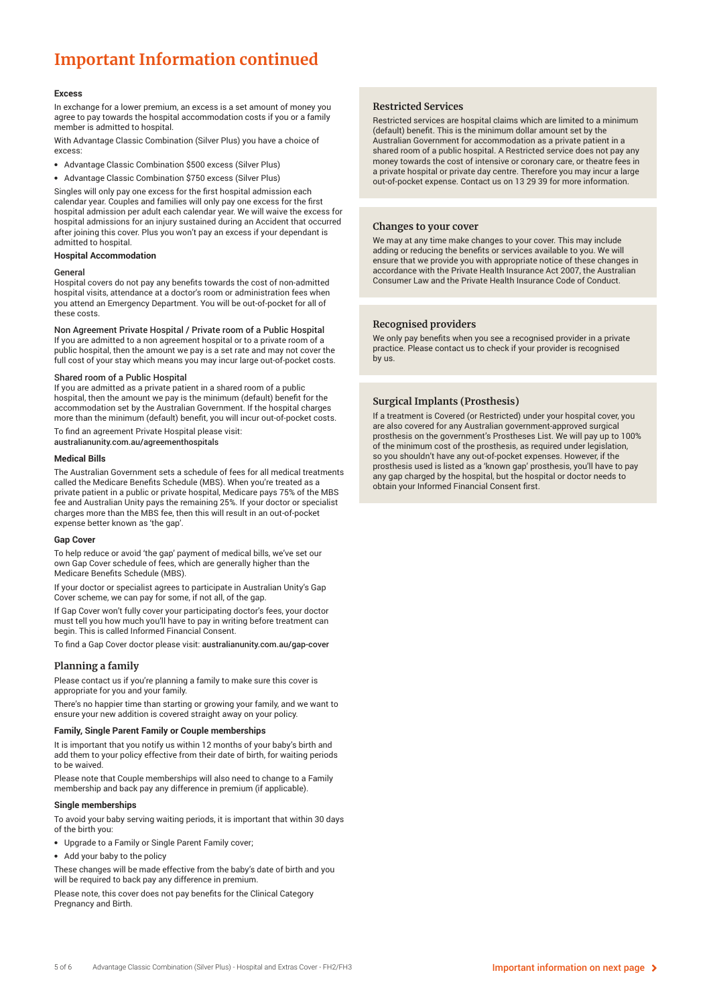## **Important Information continued**

#### **Excess**

In exchange for a lower premium, an excess is a set amount of money you agree to pay towards the hospital accommodation costs if you or a family member is admitted to hospital.

With Advantage Classic Combination (Silver Plus) you have a choice of excess:

- Advantage Classic Combination \$500 excess (Silver Plus)
- Advantage Classic Combination \$750 excess (Silver Plus)

Singles will only pay one excess for the first hospital admission each calendar year. Couples and families will only pay one excess for the first hospital admission per adult each calendar year. We will waive the excess for hospital admissions for an injury sustained during an Accident that occurred after joining this cover. Plus you won't pay an excess if your dependant is admitted to hospital.

#### **Hospital Accommodation**

#### General

Hospital covers do not pay any benefits towards the cost of non-admitted hospital visits, attendance at a doctor's room or administration fees when you attend an Emergency Department. You will be out-of-pocket for all of these costs.

Non Agreement Private Hospital / Private room of a Public Hospital If you are admitted to a non agreement hospital or to a private room of a

public hospital, then the amount we pay is a set rate and may not cover the full cost of your stay which means you may incur large out-of-pocket costs.

#### Shared room of a Public Hospital

If you are admitted as a private patient in a shared room of a public hospital, then the amount we pay is the minimum (default) benefit for the accommodation set by the Australian Government. If the hospital charges more than the minimum (default) benefit, you will incur out-of-pocket costs.

To find an agreement Private Hospital please visit: australianunity.com.au/agreementhospitals

#### **Medical Bills**

The Australian Government sets a schedule of fees for all medical treatments called the Medicare Benefits Schedule (MBS). When you're treated as a private patient in a public or private hospital, Medicare pays 75% of the MBS fee and Australian Unity pays the remaining 25%. If your doctor or specialist charges more than the MBS fee, then this will result in an out-of-pocket expense better known as 'the gap'.

#### **Gap Cover**

To help reduce or avoid 'the gap' payment of medical bills, we've set our own Gap Cover schedule of fees, which are generally higher than the Medicare Benefits Schedule (MBS).

If your doctor or specialist agrees to participate in Australian Unity's Gap Cover scheme, we can pay for some, if not all, of the gap.

If Gap Cover won't fully cover your participating doctor's fees, your doctor must tell you how much you'll have to pay in writing before treatment can begin. This is called Informed Financial Consent.

To find a Gap Cover doctor please visit: australianunity.com.au/gap-cover

#### **Planning a family**

Please contact us if you're planning a family to make sure this cover is appropriate for you and your family.

There's no happier time than starting or growing your family, and we want to ensure your new addition is covered straight away on your policy.

#### **Family, Single Parent Family or Couple memberships**

It is important that you notify us within 12 months of your baby's birth and add them to your policy effective from their date of birth, for waiting periods to be waived.

Please note that Couple memberships will also need to change to a Family membership and back pay any difference in premium (if applicable).

#### **Single memberships**

To avoid your baby serving waiting periods, it is important that within 30 days of the birth you:

- Upgrade to a Family or Single Parent Family cover;
- Add your baby to the policy

These changes will be made effective from the baby's date of birth and you will be required to back pay any difference in premium.

Please note, this cover does not pay benefits for the Clinical Category Pregnancy and Birth.

#### **Restricted Services**

Restricted services are hospital claims which are limited to a minimum (default) benefit. This is the minimum dollar amount set by the Australian Government for accommodation as a private patient in a shared room of a public hospital. A Restricted service does not pay any money towards the cost of intensive or coronary care, or theatre fees in a private hospital or private day centre. Therefore you may incur a large out-of-pocket expense. Contact us on 13 29 39 for more information.

#### **Changes to your cover**

We may at any time make changes to your cover. This may include adding or reducing the benefits or services available to you. We will ensure that we provide you with appropriate notice of these changes in accordance with the Private Health Insurance Act 2007, the Australian Consumer Law and the Private Health Insurance Code of Conduct.

#### **Recognised providers**

We only pay benefits when you see a recognised provider in a private practice. Please contact us to check if your provider is recognised by us.

#### **Surgical Implants (Prosthesis)**

If a treatment is Covered (or Restricted) under your hospital cover, you are also covered for any Australian government-approved surgical prosthesis on the government's Prostheses List. We will pay up to 100% of the minimum cost of the prosthesis, as required under legislation, so you shouldn't have any out-of-pocket expenses. However, if the prosthesis used is listed as a 'known gap' prosthesis, you'll have to pay any gap charged by the hospital, but the hospital or doctor needs to obtain your Informed Financial Consent first.